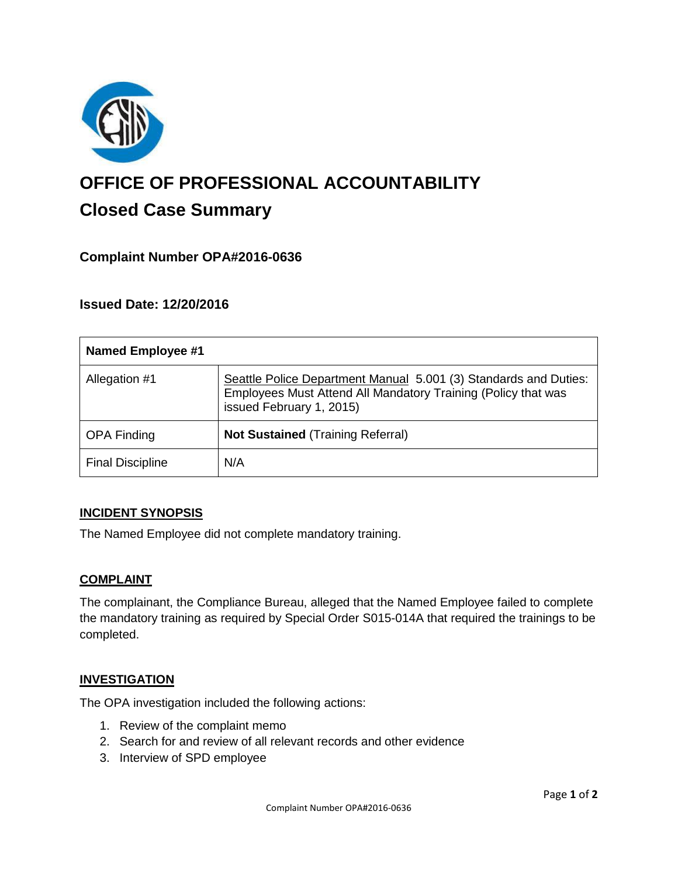

# **OFFICE OF PROFESSIONAL ACCOUNTABILITY Closed Case Summary**

# **Complaint Number OPA#2016-0636**

## **Issued Date: 12/20/2016**

| <b>Named Employee #1</b> |                                                                                                                                                               |
|--------------------------|---------------------------------------------------------------------------------------------------------------------------------------------------------------|
| Allegation #1            | Seattle Police Department Manual 5.001 (3) Standards and Duties:<br>Employees Must Attend All Mandatory Training (Policy that was<br>issued February 1, 2015) |
| <b>OPA Finding</b>       | <b>Not Sustained (Training Referral)</b>                                                                                                                      |
| <b>Final Discipline</b>  | N/A                                                                                                                                                           |

#### **INCIDENT SYNOPSIS**

The Named Employee did not complete mandatory training.

#### **COMPLAINT**

The complainant, the Compliance Bureau, alleged that the Named Employee failed to complete the mandatory training as required by Special Order S015-014A that required the trainings to be completed.

#### **INVESTIGATION**

The OPA investigation included the following actions:

- 1. Review of the complaint memo
- 2. Search for and review of all relevant records and other evidence
- 3. Interview of SPD employee